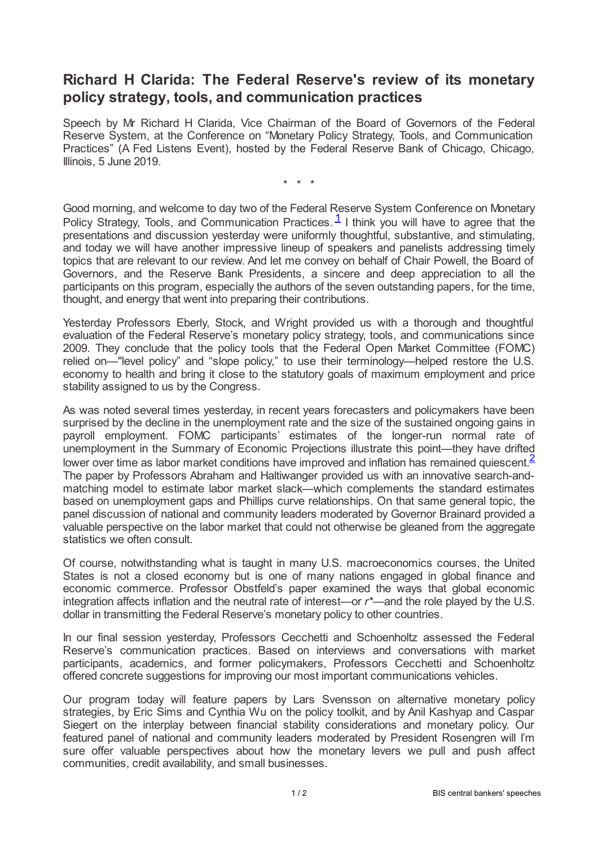## **Richard H Clarida: The Federal Reserve's review of its monetary policy strategy, tools, and communication practices**

Speech by Mr Richard H Clarida, Vice Chairman of the Board of Governors of the Federal Reserve System, at the Conference on "Monetary Policy Strategy, Tools, and Communication Practices" (A Fed Listens Event), hosted by the Federal Reserve Bank of Chicago, Chicago, Illinois, 5 June 2019.

<span id="page-0-1"></span><span id="page-0-0"></span>\* \* \*

Good morning, and welcome to day two of the Federal Reserve System Conference on Monetary Policy Strategy, Tools, and Communication Practices.  $\frac{1}{1}$  $\frac{1}{1}$  $\frac{1}{1}$  I think you will have to agree that the presentations and discussion yesterday were uniformly thoughtful, substantive, and stimulating, and today we will have another impressive lineup of speakers and panelists addressing timely topics that are relevant to our review. And let me convey on behalf of Chair Powell, the Board of Governors, and the Reserve Bank Presidents, a sincere and deep appreciation to all the participants on this program, especially the authors of the seven outstanding papers, for the time, thought, and energy that went into preparing their contributions.

Yesterday Professors Eberly, Stock, and Wright provided us with a thorough and thoughtful evaluation of the Federal Reserve's monetary policy strategy, tools, and communications since 2009. They conclude that the policy tools that the Federal Open Market Committee (FOMC) relied on—"level policy" and "slope policy," to use their terminology—helped restore the U.S. economy to health and bring it close to the statutory goals of maximum employment and price stability assigned to us by the Congress.

As was noted several times yesterday, in recent years forecasters and policymakers have been surprised by the decline in the unemployment rate and the size of the sustained ongoing gains in payroll employment. FOMC participants' estimates of the longer-run normal rate of unemployment in the Summary of Economic Projections illustrate this point—they have drifted lower over time as labor market conditions have improved and inflation has remained quiescent  $\frac{2}{3}$  $\frac{2}{3}$  $\frac{2}{3}$ The paper by Professors Abraham and Haltiwanger provided us with an innovative search-andmatching model to estimate labor market slack—which complements the standard estimates based on unemployment gaps and Phillips curve relationships. On that same general topic, the panel discussion of national and community leaders moderated by Governor Brainard provided a valuable perspective on the labor market that could not otherwise be gleaned from the aggregate statistics we often consult.

Of course, notwithstanding what is taught in many U.S. macroeconomics courses, the United States is not a closed economy but is one of many nations engaged in global finance and economic commerce. Professor Obstfeld's paper examined the ways that global economic integration affects inflation and the neutral rate of interest—or *r\**—and the role played by the U.S. dollar in transmitting the Federal Reserve's monetary policy to other countries.

In our final session yesterday, Professors Cecchetti and Schoenholtz assessed the Federal Reserve's communication practices. Based on interviews and conversations with market participants, academics, and former policymakers, Professors Cecchetti and Schoenholtz offered concrete suggestions for improving our most important communications vehicles.

Our program today will feature papers by Lars Svensson on alternative monetary policy strategies, by Eric Sims and Cynthia Wu on the policy toolkit, and by Anil Kashyap and Caspar Siegert on the interplay between financial stability considerations and monetary policy. Our featured panel of national and community leaders moderated by President Rosengren will I'm sure offer valuable perspectives about how the monetary levers we pull and push affect communities, credit availability, and small businesses.